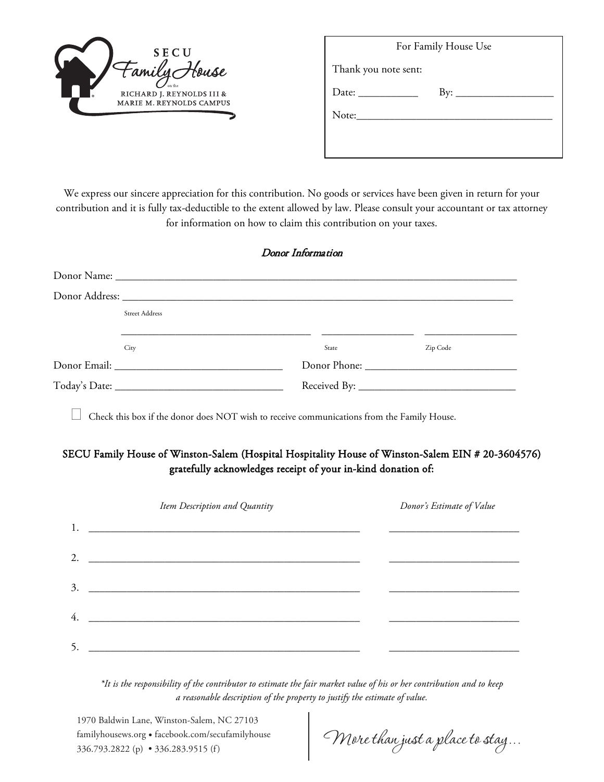

| For Family House Use                                                             |  |  |  |  |
|----------------------------------------------------------------------------------|--|--|--|--|
| Thank you note sent:                                                             |  |  |  |  |
| Date: $\frac{1}{\sqrt{1-\frac{1}{2}}\cdot\frac{1}{\sqrt{1-\frac{1}{2}}}}$<br>By: |  |  |  |  |
| Note:                                                                            |  |  |  |  |
|                                                                                  |  |  |  |  |
|                                                                                  |  |  |  |  |

We express our sincere appreciation for this contribution. No goods or services have been given in return for your contribution and it is fully tax-deductible to the extent allowed by law. Please consult your accountant or tax attorney for information on how to claim this contribution on your taxes.

## Donor Information

| <b>Street Address</b> |       |          |
|-----------------------|-------|----------|
|                       |       |          |
| City                  | State | Zip Code |
|                       |       |          |
|                       |       |          |

Check this box if the donor does NOT wish to receive communications from the Family House.

## SECU Family House of Winston-Salem (Hospital Hospitality House of Winston-Salem EIN # 20-3604576) gratefully acknowledges receipt of your in-kind donation of:

|    | Item Description and Quantity                                                                                         | Donor's Estimate of Value |
|----|-----------------------------------------------------------------------------------------------------------------------|---------------------------|
| 1. | <u> 1980 - Johann John Stein, markin film og forsk forskellige og forskellige og s</u>                                |                           |
| 2. |                                                                                                                       |                           |
| 3. | <u> 2000 - Jan Andreas Andreas Andreas Andreas Andreas Andreas Andreas Andreas Andreas Andreas Andreas Andreas An</u> |                           |
| 4. | <u> 1980 - Andrea Andrew Maria (h. 1980).</u>                                                                         |                           |
|    | the contract of the contract of the contract of the contract of the contract of                                       |                           |

*\*It is the responsibility of the contributor to estimate the fair market value of his or her contribution and to keep a reasonable description of the property to justify the estimate of value.*

1970 Baldwin Lane, Winston-Salem, NC 27103 familyhousews.org • facebook.com/secufamilyhouse 336.793.2822 (p) • 336.283.9515 (f)

More than just a place to stay...